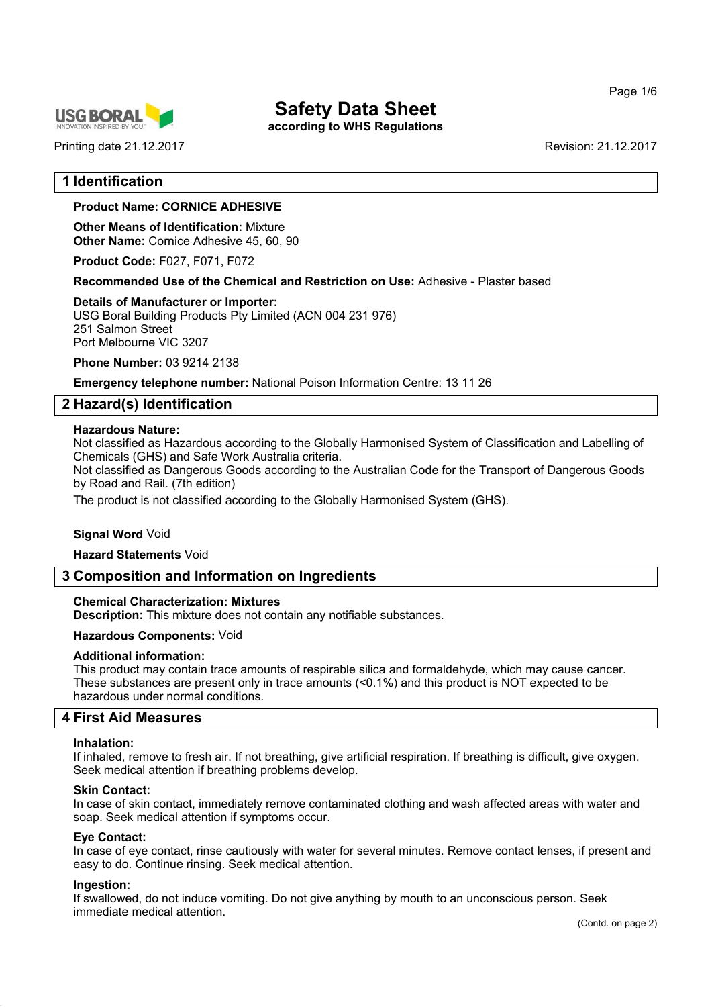Page 1/6



Printing date 21.12.2017 **Revision: 21.12.2017** Revision: 21.12.2017

# **Safety Data Sheet**

**according to WHS Regulations**

# **1 Identification**

# **Product Name: CORNICE ADHESIVE**

**Other Means of Identification:** Mixture **Other Name:** Cornice Adhesive 45, 60, 90

**Product Code:** F027, F071, F072

**Recommended Use of the Chemical and Restriction on Use:** Adhesive - Plaster based

#### **Details of Manufacturer or Importer:**

USG Boral Building Products Pty Limited (ACN 004 231 976) 251 Salmon Street Port Melbourne VIC 3207

**Phone Number:** 03 9214 2138

**Emergency telephone number:** National Poison Information Centre: 13 11 26

# **2 Hazard(s) Identification**

#### **Hazardous Nature:**

Not classified as Hazardous according to the Globally Harmonised System of Classification and Labelling of Chemicals (GHS) and Safe Work Australia criteria.

Not classified as Dangerous Goods according to the Australian Code for the Transport of Dangerous Goods by Road and Rail. (7th edition)

The product is not classified according to the Globally Harmonised System (GHS).

#### **Signal Word** Void

**Hazard Statements** Void

# **3 Composition and Information on Ingredients**

#### **Chemical Characterization: Mixtures**

**Description:** This mixture does not contain any notifiable substances.

#### **Hazardous Components:** Void

#### **Additional information:**

This product may contain trace amounts of respirable silica and formaldehyde, which may cause cancer. These substances are present only in trace amounts (<0.1%) and this product is NOT expected to be hazardous under normal conditions.

#### **4 First Aid Measures**

#### **Inhalation:**

If inhaled, remove to fresh air. If not breathing, give artificial respiration. If breathing is difficult, give oxygen. Seek medical attention if breathing problems develop.

#### **Skin Contact:**

In case of skin contact, immediately remove contaminated clothing and wash affected areas with water and soap. Seek medical attention if symptoms occur.

#### **Eye Contact:**

In case of eye contact, rinse cautiously with water for several minutes. Remove contact lenses, if present and easy to do. Continue rinsing. Seek medical attention.

#### **Ingestion:**

If swallowed, do not induce vomiting. Do not give anything by mouth to an unconscious person. Seek immediate medical attention.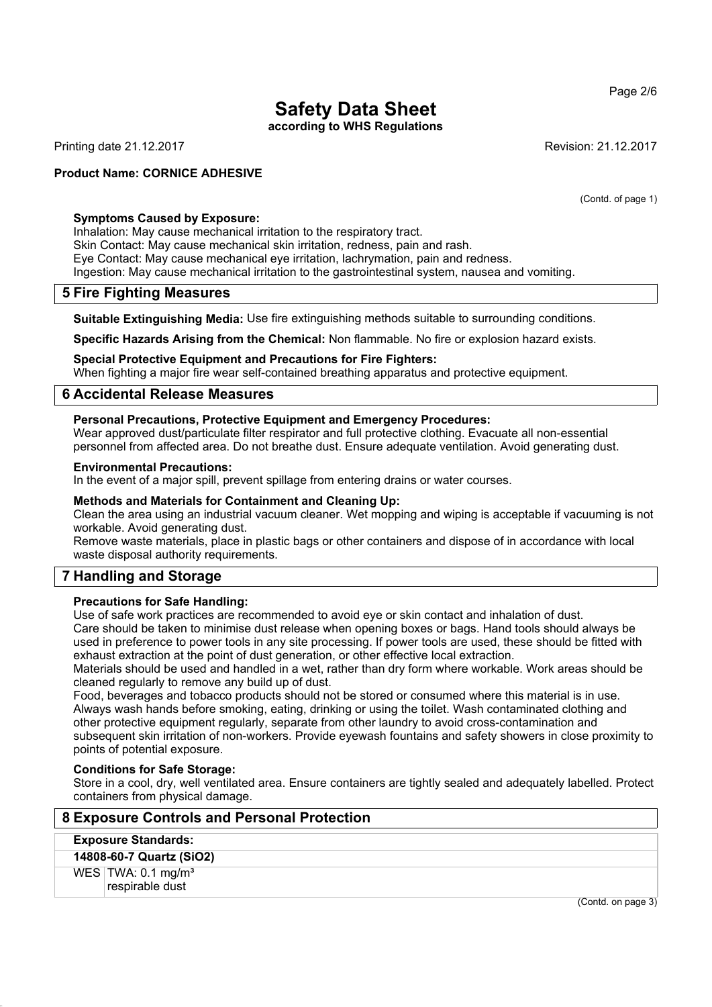**according to WHS Regulations**

Printing date 21.12.2017 **Revision: 21.12.2017** Revision: 21.12.2017

### **Product Name: CORNICE ADHESIVE**

(Contd. of page 1)

#### **Symptoms Caused by Exposure:**

Inhalation: May cause mechanical irritation to the respiratory tract. Skin Contact: May cause mechanical skin irritation, redness, pain and rash. Eye Contact: May cause mechanical eye irritation, lachrymation, pain and redness. Ingestion: May cause mechanical irritation to the gastrointestinal system, nausea and vomiting.

# **5 Fire Fighting Measures**

**Suitable Extinguishing Media:** Use fire extinguishing methods suitable to surrounding conditions.

**Specific Hazards Arising from the Chemical:** Non flammable. No fire or explosion hazard exists.

**Special Protective Equipment and Precautions for Fire Fighters:** When fighting a major fire wear self-contained breathing apparatus and protective equipment.

# **6 Accidental Release Measures**

# **Personal Precautions, Protective Equipment and Emergency Procedures:**

Wear approved dust/particulate filter respirator and full protective clothing. Evacuate all non-essential personnel from affected area. Do not breathe dust. Ensure adequate ventilation. Avoid generating dust.

#### **Environmental Precautions:**

In the event of a major spill, prevent spillage from entering drains or water courses.

#### **Methods and Materials for Containment and Cleaning Up:**

Clean the area using an industrial vacuum cleaner. Wet mopping and wiping is acceptable if vacuuming is not workable. Avoid generating dust.

Remove waste materials, place in plastic bags or other containers and dispose of in accordance with local waste disposal authority requirements.

# **7 Handling and Storage**

#### **Precautions for Safe Handling:**

Use of safe work practices are recommended to avoid eye or skin contact and inhalation of dust.

Care should be taken to minimise dust release when opening boxes or bags. Hand tools should always be used in preference to power tools in any site processing. If power tools are used, these should be fitted with exhaust extraction at the point of dust generation, or other effective local extraction.

Materials should be used and handled in a wet, rather than dry form where workable. Work areas should be cleaned regularly to remove any build up of dust.

Food, beverages and tobacco products should not be stored or consumed where this material is in use. Always wash hands before smoking, eating, drinking or using the toilet. Wash contaminated clothing and other protective equipment regularly, separate from other laundry to avoid cross-contamination and subsequent skin irritation of non-workers. Provide eyewash fountains and safety showers in close proximity to points of potential exposure.

#### **Conditions for Safe Storage:**

Store in a cool, dry, well ventilated area. Ensure containers are tightly sealed and adequately labelled. Protect containers from physical damage.

| 8 Exposure Controls and Personal Protection         |  |
|-----------------------------------------------------|--|
| <b>Exposure Standards:</b>                          |  |
| 14808-60-7 Quartz (SiO2)                            |  |
| WES $TWA: 0.1$ mg/m <sup>3</sup><br>respirable dust |  |

#### Page 2/6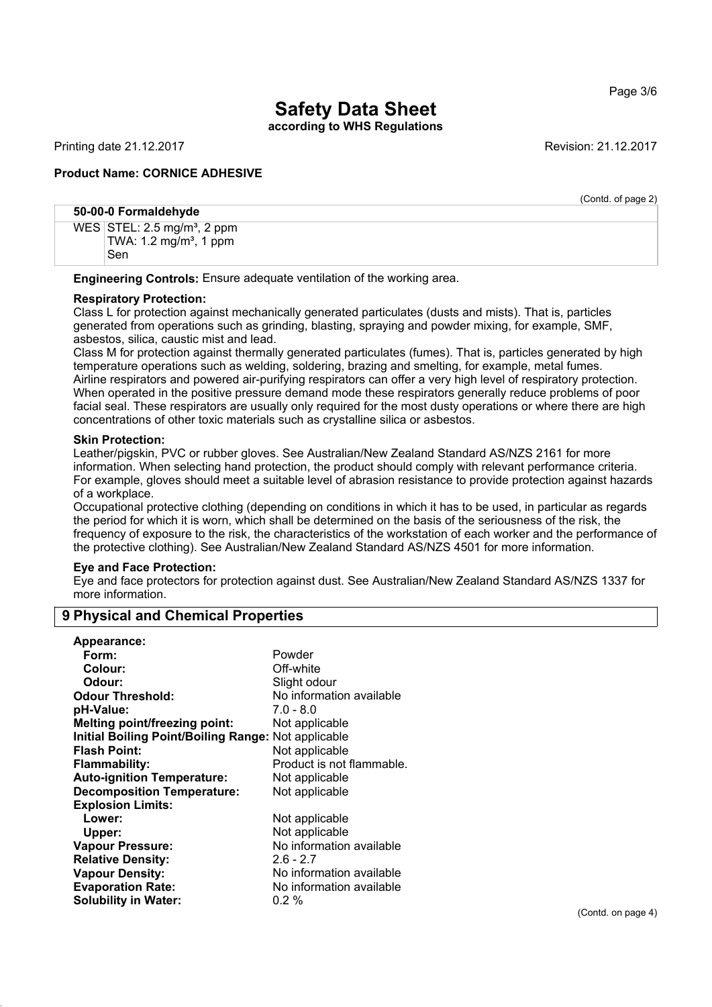# **Safety Data Sheet according to WHS Regulations**

Printing date 21.12.2017 **Revision: 21.12.2017** Revision: 21.12.2017

# **Product Name: CORNICE ADHESIVE**

(Contd. of page 2) **50-00-0 Formaldehyde** WES STEL:  $2.5 \text{ mg/m}^3$ , 2 ppm TWA:  $1.2$  mg/m<sup>3</sup>, 1 ppm Sen

**Engineering Controls:** Ensure adequate ventilation of the working area.

#### **Respiratory Protection:**

Class L for protection against mechanically generated particulates (dusts and mists). That is, particles generated from operations such as grinding, blasting, spraying and powder mixing, for example, SMF, asbestos, silica, caustic mist and lead.

Class M for protection against thermally generated particulates (fumes). That is, particles generated by high temperature operations such as welding, soldering, brazing and smelting, for example, metal fumes. Airline respirators and powered air-purifying respirators can offer a very high level of respiratory protection. When operated in the positive pressure demand mode these respirators generally reduce problems of poor facial seal. These respirators are usually only required for the most dusty operations or where there are high concentrations of other toxic materials such as crystalline silica or asbestos.

#### **Skin Protection:**

Leather/pigskin, PVC or rubber gloves. See Australian/New Zealand Standard AS/NZS 2161 for more information. When selecting hand protection, the product should comply with relevant performance criteria. For example, gloves should meet a suitable level of abrasion resistance to provide protection against hazards of a workplace.

Occupational protective clothing (depending on conditions in which it has to be used, in particular as regards the period for which it is worn, which shall be determined on the basis of the seriousness of the risk, the frequency of exposure to the risk, the characteristics of the workstation of each worker and the performance of the protective clothing). See Australian/New Zealand Standard AS/NZS 4501 for more information.

#### **Eye and Face Protection:**

Eye and face protectors for protection against dust. See Australian/New Zealand Standard AS/NZS 1337 for more information.

| Appearance:                                         |                           |
|-----------------------------------------------------|---------------------------|
| Form:                                               | Powder                    |
| Colour:                                             | Off-white                 |
| Odour:                                              | Slight odour              |
| <b>Odour Threshold:</b>                             | No information available  |
| pH-Value:                                           | $7.0 - 8.0$               |
| <b>Melting point/freezing point:</b>                | Not applicable            |
| Initial Boiling Point/Boiling Range: Not applicable |                           |
| <b>Flash Point:</b>                                 | Not applicable            |
| Flammability:                                       | Product is not flammable. |
| <b>Auto-ignition Temperature:</b>                   | Not applicable            |
| <b>Decomposition Temperature:</b>                   | Not applicable            |
| <b>Explosion Limits:</b>                            |                           |
| Lower:                                              | Not applicable            |
| Upper:                                              | Not applicable            |
| <b>Vapour Pressure:</b>                             | No information available  |
| <b>Relative Density:</b>                            | $2.6 - 2.7$               |
| <b>Vapour Density:</b>                              | No information available  |
| <b>Evaporation Rate:</b>                            | No information available  |
| <b>Solubility in Water:</b>                         | $0.2 \%$                  |
|                                                     |                           |

# **9 Physical and Chemical Properties**

(Contd. on page 4)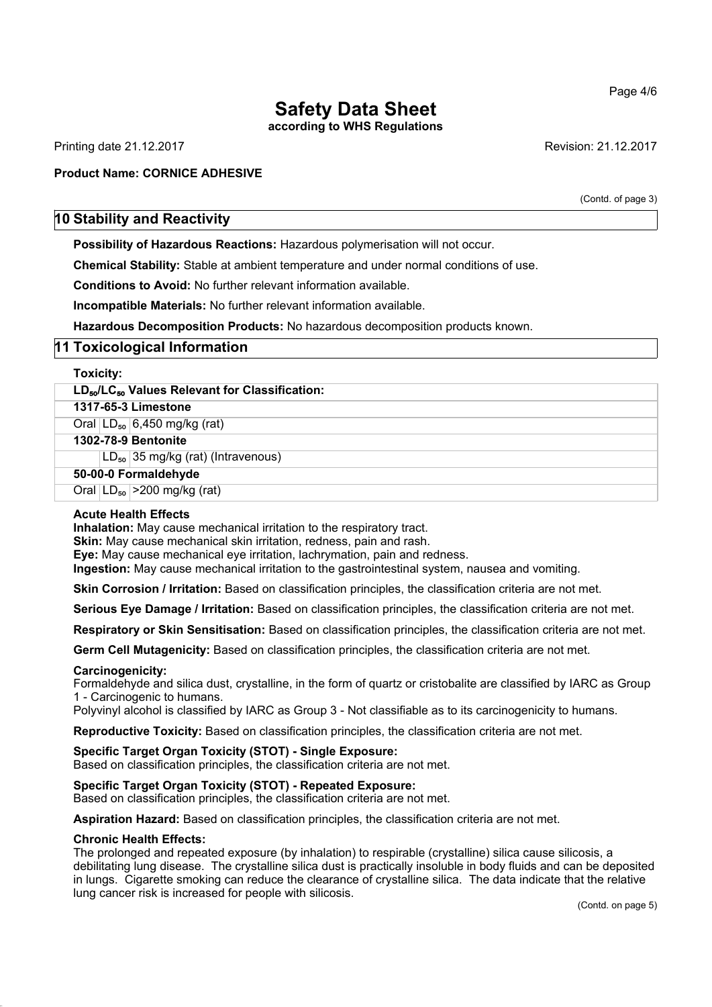**according to WHS Regulations**

Printing date 21.12.2017 **Revision: 21.12.2017** Revision: 21.12.2017

# **Product Name: CORNICE ADHESIVE**

(Contd. of page 3)

# **10 Stability and Reactivity**

**Possibility of Hazardous Reactions:** Hazardous polymerisation will not occur.

**Chemical Stability:** Stable at ambient temperature and under normal conditions of use.

**Conditions to Avoid:** No further relevant information available.

**Incompatible Materials:** No further relevant information available.

**Hazardous Decomposition Products:** No hazardous decomposition products known.

# **11 Toxicological Information**

| <b>Toxicity:</b>                                                       |
|------------------------------------------------------------------------|
| LD <sub>50</sub> /LC <sub>50</sub> Values Relevant for Classification: |
| 1317-65-3 Limestone                                                    |
| Oral $LD_{50}$ 6,450 mg/kg (rat)                                       |
| 1302-78-9 Bentonite                                                    |
| $LD_{50}$ 35 mg/kg (rat) (Intravenous)                                 |
| 50-00-0 Formaldehyde                                                   |
| Oral $ LD_{50}  > 200$ mg/kg (rat)                                     |

#### **Acute Health Effects**

**Inhalation:** May cause mechanical irritation to the respiratory tract.

**Skin:** May cause mechanical skin irritation, redness, pain and rash.

**Eye:** May cause mechanical eye irritation, lachrymation, pain and redness.

**Ingestion:** May cause mechanical irritation to the gastrointestinal system, nausea and vomiting.

**Skin Corrosion / Irritation:** Based on classification principles, the classification criteria are not met.

**Serious Eye Damage / Irritation:** Based on classification principles, the classification criteria are not met.

**Respiratory or Skin Sensitisation:** Based on classification principles, the classification criteria are not met.

**Germ Cell Mutagenicity:** Based on classification principles, the classification criteria are not met.

#### **Carcinogenicity:**

Formaldehyde and silica dust, crystalline, in the form of quartz or cristobalite are classified by IARC as Group 1 - Carcinogenic to humans.

Polyvinyl alcohol is classified by IARC as Group 3 - Not classifiable as to its carcinogenicity to humans.

**Reproductive Toxicity:** Based on classification principles, the classification criteria are not met.

#### **Specific Target Organ Toxicity (STOT) - Single Exposure:**

Based on classification principles, the classification criteria are not met.

#### **Specific Target Organ Toxicity (STOT) - Repeated Exposure:**

Based on classification principles, the classification criteria are not met.

**Aspiration Hazard:** Based on classification principles, the classification criteria are not met.

#### **Chronic Health Effects:**

The prolonged and repeated exposure (by inhalation) to respirable (crystalline) silica cause silicosis, a debilitating lung disease. The crystalline silica dust is practically insoluble in body fluids and can be deposited in lungs. Cigarette smoking can reduce the clearance of crystalline silica. The data indicate that the relative lung cancer risk is increased for people with silicosis.

Page 4/6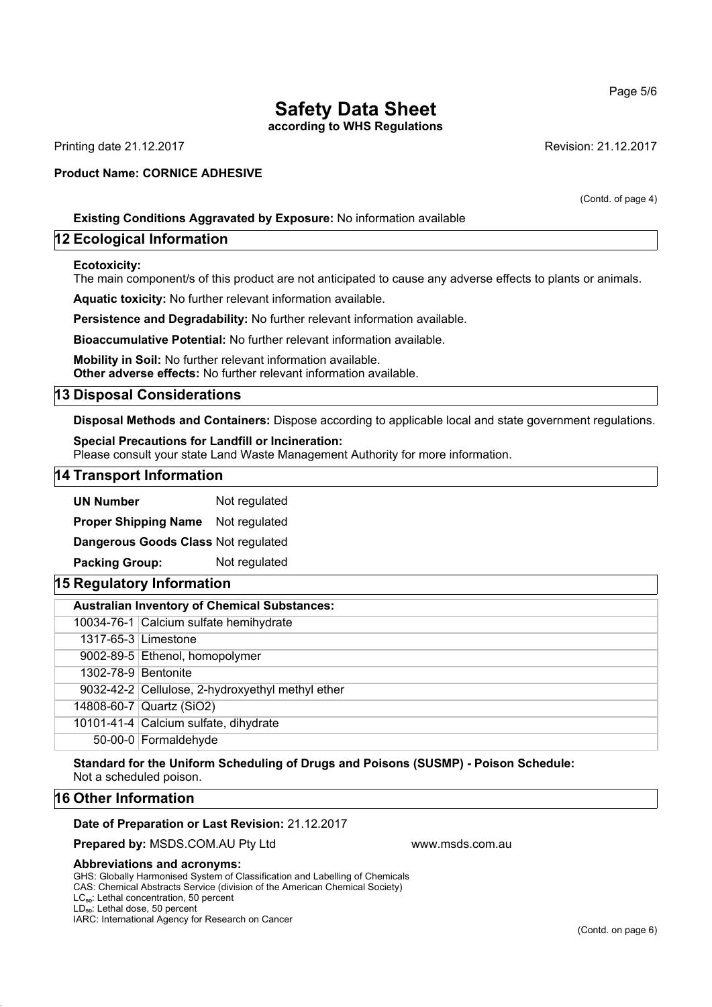**according to WHS Regulations**

Printing date 21.12.2017 **Revision: 21.12.2017** Revision: 21.12.2017

### **Product Name: CORNICE ADHESIVE**

(Contd. of page 4)

# **Existing Conditions Aggravated by Exposure:** No information available

# **12 Ecological Information**

#### **Ecotoxicity:**

The main component/s of this product are not anticipated to cause any adverse effects to plants or animals.

**Aquatic toxicity:** No further relevant information available.

**Persistence and Degradability:** No further relevant information available.

**Bioaccumulative Potential:** No further relevant information available.

**Mobility in Soil:** No further relevant information available. **Other adverse effects:** No further relevant information available.

# **13 Disposal Considerations**

**Disposal Methods and Containers:** Dispose according to applicable local and state government regulations.

#### **Special Precautions for Landfill or Incineration:**

Please consult your state Land Waste Management Authority for more information.

#### **14 Transport Information**

**UN Number** Not regulated

**Proper Shipping Name** Not regulated

**Dangerous Goods Class** Not regulated

**Packing Group:** Not regulated

# **15 Regulatory Information**

| <b>Australian Inventory of Chemical Substances:</b> |                                                  |
|-----------------------------------------------------|--------------------------------------------------|
|                                                     | 10034-76-1 Calcium sulfate hemihydrate           |
|                                                     | 1317-65-3 Limestone                              |
|                                                     | 9002-89-5 Ethenol, homopolymer                   |
| 1302-78-9 Bentonite                                 |                                                  |
|                                                     | 9032-42-2 Cellulose, 2-hydroxyethyl methyl ether |
|                                                     | 14808-60-7 Quartz (SiO2)                         |
|                                                     | 10101-41-4 Calcium sulfate, dihydrate            |
|                                                     | 50-00-0 Formaldehyde                             |

**Standard for the Uniform Scheduling of Drugs and Poisons (SUSMP) - Poison Schedule:** Not a scheduled poison.

# **16 Other Information**

#### **Date of Preparation or Last Revision:** 21.12.2017

**Prepared by: MSDS.COM.AU Pty Ltd www.msds.com.au** 

#### **Abbreviations and acronyms:**

GHS: Globally Harmonised System of Classification and Labelling of Chemicals CAS: Chemical Abstracts Service (division of the American Chemical Society)

LC<sub>50</sub>: Lethal concentration, 50 percent

LD<sub>50</sub>: Lethal dose, 50 percent

IARC: International Agency for Research on Cancer